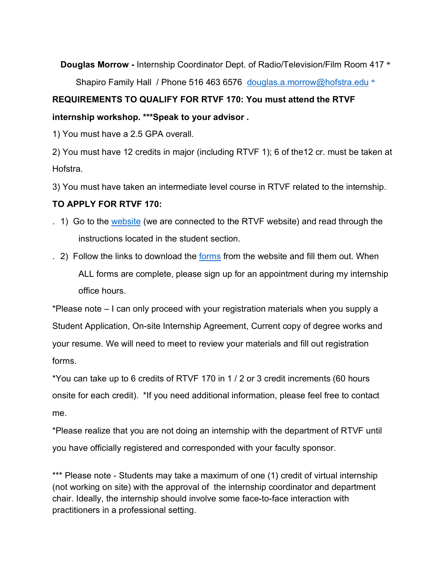**Douglas Morrow -** Internship Coordinator Dept. of Radio/Television/Film Room 417 \* Shapiro Family Hall / Phone 516 463 6576 douglas.a.morrow@hofstra.edu \*

## **REQUIREMENTS TO QUALIFY FOR RTVF 170: You must attend the RTVF internship workshop. \*\*\*Speak to your advisor .**

1) You must have a 2.5 GPA overall.

 2) You must have 12 credits in major (including RTVF 1); 6 of the12 cr. must be taken at Hofstra.

3) You must have taken an intermediate level course in RTVF related to the internship.

## **TO APPLY FOR RTVF 170:**

- . 1) Go to the website (we are connected to the RTVF website) and read through the instructions located in the student section.
- . 2) Follow the links to download the forms from the website and fill them out. When ALL forms are complete, please sign up for an appointment during my internship office hours.

 \*Please note – I can only proceed with your registration materials when you supply a Student Application, On-site Internship Agreement, Current copy of degree works and your resume. We will need to meet to review your materials and fill out registration forms.

forms.<br>\*You can take up to 6 credits of RTVF 170 in 1 / 2 or 3 credit increments (60 hours onsite for each credit). \*If you need additional information, please feel free to contact me.

 \*Please realize that you are not doing an internship with the department of RTVF until you have officially registered and corresponded with your faculty sponsor.

\*\*\* Please note - Students may take a maximum of one (1) credit of virtual internship (not working on site) with the approval of the internship coordinator and department chair. Ideally, the internship should involve some face-to-face interaction with practitioners in a professional setting.